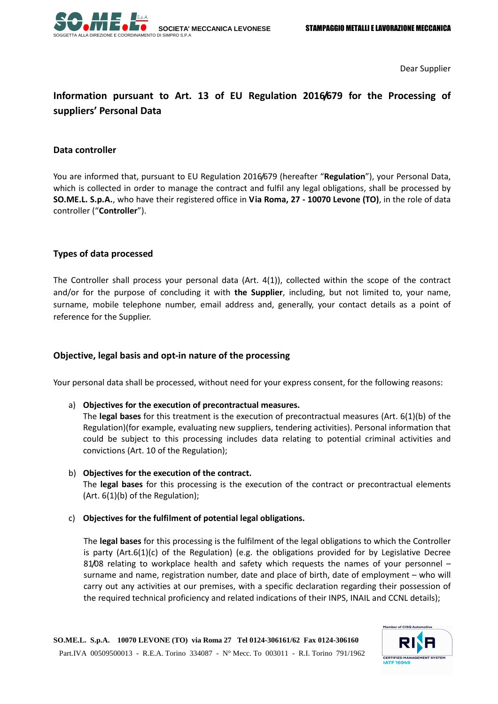

Dear Supplier

# **Information pursuant to Art. 13 of EU Regulation 2016/679 for the Processing of suppliers' Personal Data**

#### **Data controller**

You are informed that, pursuant to EU Regulation 2016/679 (hereafter "**Regulation**"), your Personal Data, which is collected in order to manage the contract and fulfil any legal obligations, shall be processed by **SO.ME.L. S.p.A.**, who have their registered office in **Via Roma, 27 - 10070 Levone (TO)**, in the role of data controller ("**Controller**").

#### **Types of data processed**

The Controller shall process your personal data (Art. 4(1)), collected within the scope of the contract and/or for the purpose of concluding it with **the Supplier**, including, but not limited to, your name, surname, mobile telephone number, email address and, generally, your contact details as a point of reference for the Supplier.

### **Objective, legal basis and opt-in nature of the processing**

Your personal data shall be processed, without need for your express consent, for the following reasons:

a) **Objectives for the execution of precontractual measures.**

The **legal bases** for this treatment is the execution of precontractual measures (Art. 6(1)(b) of the Regulation)(for example, evaluating new suppliers, tendering activities). Personal information that could be subject to this processing includes data relating to potential criminal activities and convictions (Art. 10 of the Regulation);

- b) **Objectives for the execution of the contract.** The **legal bases** for this processing is the execution of the contract or precontractual elements (Art. 6(1)(b) of the Regulation);
- c) **Objectives for the fulfilment of potential legal obligations.**

The **legal bases** for this processing is the fulfilment of the legal obligations to which the Controller is party (Art.6(1)(c) of the Regulation) (e.g. the obligations provided for by Legislative Decree 81/08 relating to workplace health and safety which requests the names of your personnel – surname and name, registration number, date and place of birth, date of employment – who will carry out any activities at our premises, with a specific declaration regarding their possession of the required technical proficiency and related indications of their INPS, INAIL and CCNL details);

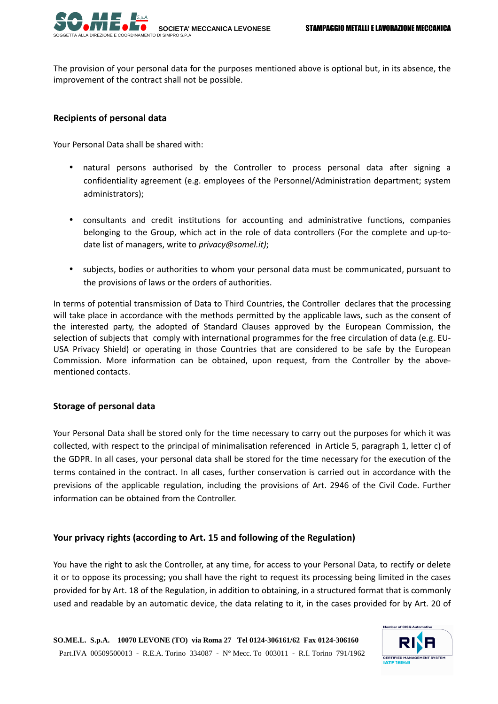

The provision of your personal data for the purposes mentioned above is optional but, in its absence, the improvement of the contract shall not be possible.

### **Recipients of personal data**

Your Personal Data shall be shared with:

- natural persons authorised by the Controller to process personal data after signing a confidentiality agreement (e.g. employees of the Personnel/Administration department; system administrators);
- consultants and credit institutions for accounting and administrative functions, companies belonging to the Group, which act in the role of data controllers (For the complete and up-todate list of managers, write to *privacy@somel.it)*;
- subjects, bodies or authorities to whom your personal data must be communicated, pursuant to the provisions of laws or the orders of authorities.

In terms of potential transmission of Data to Third Countries, the Controller declares that the processing will take place in accordance with the methods permitted by the applicable laws, such as the consent of the interested party, the adopted of Standard Clauses approved by the European Commission, the selection of subjects that comply with international programmes for the free circulation of data (e.g. EU-USA Privacy Shield) or operating in those Countries that are considered to be safe by the European Commission. More information can be obtained, upon request, from the Controller by the abovementioned contacts.

### **Storage of personal data**

Your Personal Data shall be stored only for the time necessary to carry out the purposes for which it was collected, with respect to the principal of minimalisation referenced in Article 5, paragraph 1, letter c) of the GDPR. In all cases, your personal data shall be stored for the time necessary for the execution of the terms contained in the contract. In all cases, further conservation is carried out in accordance with the previsions of the applicable regulation, including the provisions of Art. 2946 of the Civil Code. Further information can be obtained from the Controller.

## **Your privacy rights (according to Art. 15 and following of the Regulation)**

You have the right to ask the Controller, at any time, for access to your Personal Data, to rectify or delete it or to oppose its processing; you shall have the right to request its processing being limited in the cases provided for by Art. 18 of the Regulation, in addition to obtaining, in a structured format that is commonly used and readable by an automatic device, the data relating to it, in the cases provided for by Art. 20 of